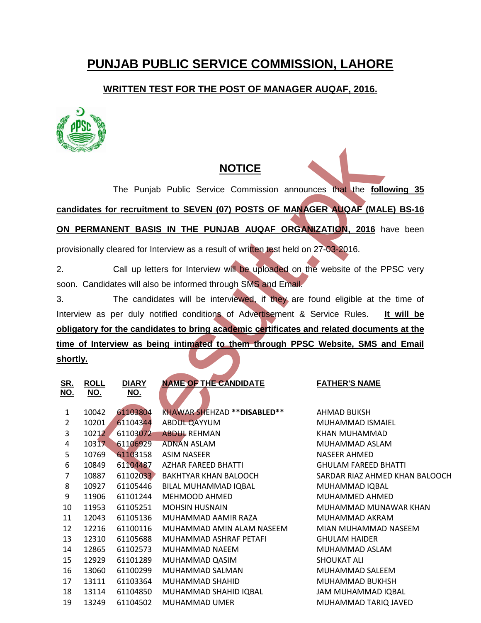## **PUNJAB PUBLIC SERVICE COMMISSION, LAHORE**

## **WRITTEN TEST FOR THE POST OF MANAGER AUQAF, 2016.**



## **NOTICE**

| <b>NOTICE</b>                                                                            |                           |                            |                                                                                           |                                            |  |  |  |
|------------------------------------------------------------------------------------------|---------------------------|----------------------------|-------------------------------------------------------------------------------------------|--------------------------------------------|--|--|--|
| The Punjab Public Service Commission announces that the following 35                     |                           |                            |                                                                                           |                                            |  |  |  |
| candidates for recruitment to SEVEN (07) POSTS OF MANAGER AUQAF (MALE) BS-16             |                           |                            |                                                                                           |                                            |  |  |  |
| ON PERMANENT BASIS IN THE PUNJAB AUQAF ORGANIZATION, 2016 have been                      |                           |                            |                                                                                           |                                            |  |  |  |
| provisionally cleared for Interview as a result of written test held on 27-03-2016.      |                           |                            |                                                                                           |                                            |  |  |  |
|                                                                                          |                           |                            |                                                                                           |                                            |  |  |  |
| Call up letters for Interview will be uploaded on the website of the PPSC very<br>2.     |                           |                            |                                                                                           |                                            |  |  |  |
| soon. Candidates will also be informed through SMS and Email.                            |                           |                            |                                                                                           |                                            |  |  |  |
| The candidates will be interviewed, if they are found eligible at the time of<br>3.      |                           |                            |                                                                                           |                                            |  |  |  |
| nterview as per duly notified conditions of Advertisement & Service Rules.<br>It will be |                           |                            |                                                                                           |                                            |  |  |  |
|                                                                                          |                           |                            |                                                                                           |                                            |  |  |  |
|                                                                                          |                           |                            | obligatory for the candidates to bring academic certificates and related documents at the |                                            |  |  |  |
|                                                                                          |                           |                            | ime of Interview as being intimated to them through PPSC Website, SMS and Email           |                                            |  |  |  |
| <u>shortly.</u>                                                                          |                           |                            |                                                                                           |                                            |  |  |  |
|                                                                                          |                           |                            | <b>NAME OF THE CANDIDATE</b>                                                              |                                            |  |  |  |
| <u>SR.</u><br><u>NO.</u>                                                                 | <b>ROLL</b><br><u>NO.</u> | <b>DIARY</b><br><u>NO.</u> |                                                                                           | <b>FATHER'S NAME</b>                       |  |  |  |
|                                                                                          |                           |                            |                                                                                           |                                            |  |  |  |
|                                                                                          |                           |                            |                                                                                           |                                            |  |  |  |
| $\mathbf{1}$                                                                             | 10042                     | 61103804                   | <b>KHAWAR SHEHZAD ** DISABLED**</b>                                                       | AHMAD BUKSH                                |  |  |  |
| $\overline{2}$                                                                           | 10201                     | 61104344                   | <b>ABDUL QAYYUM</b>                                                                       | MUHAMMAD ISMAIEL                           |  |  |  |
| $\overline{3}$                                                                           | 10212                     | 61103072                   | <b>ABDUL REHMAN</b>                                                                       | KHAN MUHAMMAD                              |  |  |  |
| 4                                                                                        | 10317                     | 61106929                   | <b>ADNAN ASLAM</b>                                                                        | MUHAMMAD ASLAM                             |  |  |  |
| 5                                                                                        | 10769                     | 61103158                   | <b>ASIM NASEER</b>                                                                        | <b>NASEER AHMED</b>                        |  |  |  |
| 6                                                                                        | 10849                     | 61104487                   | <b>AZHAR FAREED BHATTI</b>                                                                | <b>GHULAM FAREED BHATTI</b>                |  |  |  |
| $\overline{7}$                                                                           | 10887                     | 61102033                   | <b>BAKHTYAR KHAN BALOOCH</b>                                                              | SARDAR RIAZ AHMED KHAN BALOOCH             |  |  |  |
| 8                                                                                        | 10927                     | 61105446                   | BILAL MUHAMMAD IQBAL                                                                      | MUHAMMAD IQBAL                             |  |  |  |
| 9                                                                                        | 11906                     | 61101244                   | MEHMOOD AHMED                                                                             | MUHAMMED AHMED                             |  |  |  |
| 10                                                                                       | 11953                     | 61105251                   | <b>MOHSIN HUSNAIN</b>                                                                     | MUHAMMAD MUNAWAR KHAN                      |  |  |  |
| 11                                                                                       | 12043                     | 61105136                   | MUHAMMAD AAMIR RAZA                                                                       | MUHAMMAD AKRAM                             |  |  |  |
| 12                                                                                       | 12216                     | 61100116                   | MUHAMMAD AMIN ALAM NASEEM                                                                 | MIAN MUHAMMAD NASEEM                       |  |  |  |
| 13                                                                                       | 12310                     | 61105688                   | MUHAMMAD ASHRAF PETAFI                                                                    | <b>GHULAM HAIDER</b>                       |  |  |  |
| 14                                                                                       | 12865                     | 61102573                   | MUHAMMAD NAEEM                                                                            | MUHAMMAD ASLAM                             |  |  |  |
| 15                                                                                       | 12929                     | 61101289                   | MUHAMMAD QASIM                                                                            | <b>SHOUKAT ALI</b>                         |  |  |  |
| 16                                                                                       | 13060                     | 61100299                   | MUHAMMAD SALMAN                                                                           | MUHAMMAD SALEEM                            |  |  |  |
| 17                                                                                       | 13111                     | 61103364                   | MUHAMMAD SHAHID                                                                           | MUHAMMAD BUKHSH                            |  |  |  |
| 18<br>19                                                                                 | 13114<br>13249            | 61104850<br>61104502       | MUHAMMAD SHAHID IQBAL<br>MUHAMMAD UMER                                                    | JAM MUHAMMAD IQBAL<br>MUHAMMAD TARIQ JAVED |  |  |  |